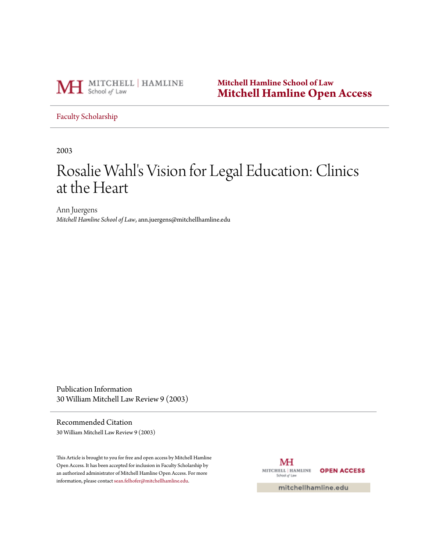

**Mitchell Hamline School of Law [Mitchell Hamline Open Access](http://open.mitchellhamline.edu)**

[Faculty Scholarship](http://open.mitchellhamline.edu/facsch)

2003

# Rosalie Wahl's Vision for Legal Education: Clinics at the Heart

Ann Juergens *Mitchell Hamline School of Law*, ann.juergens@mitchellhamline.edu

Publication Information 30 William Mitchell Law Review 9 (2003)

Recommended Citation 30 William Mitchell Law Review 9 (2003)

This Article is brought to you for free and open access by Mitchell Hamline Open Access. It has been accepted for inclusion in Faculty Scholarship by an authorized administrator of Mitchell Hamline Open Access. For more information, please contact [sean.felhofer@mitchellhamline.edu.](mailto:sean.felhofer@mitchellhamline.edu)

MH MITCHELL | HAMLINE **OPEN ACCESS** School of Law

mitchellhamline.edu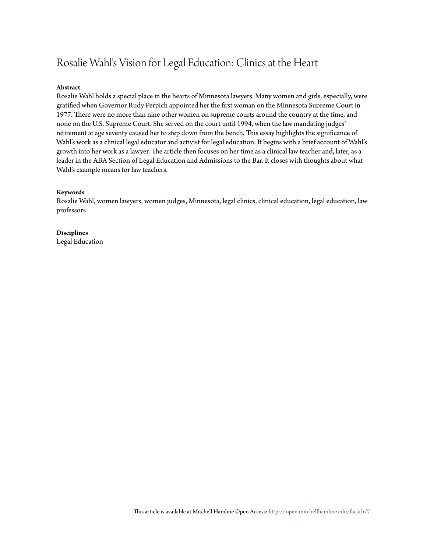## Rosalie Wahl's Vision for Legal Education: Clinics at the Heart

#### **Abstract**

Rosalie Wahl holds a special place in the hearts of Minnesota lawyers. Many women and girls, especially, were gratified when Governor Rudy Perpich appointed her the first woman on the Minnesota Supreme Court in 1977. There were no more than nine other women on supreme courts around the country at the time, and none on the U.S. Supreme Court. She served on the court until 1994, when the law mandating judges' retirement at age seventy caused her to step down from the bench. This essay highlights the significance of Wahl's work as a clinical legal educator and activist for legal education. It begins with a brief account of Wahl's growth into her work as a lawyer. The article then focuses on her time as a clinical law teacher and, later, as a leader in the ABA Section of Legal Education and Admissions to the Bar. It closes with thoughts about what Wahl's example means for law teachers.

#### **Keywords**

Rosalie Wahl, women lawyers, women judges, Minnesota, legal clinics, clinical education, legal education, law professors

**Disciplines** Legal Education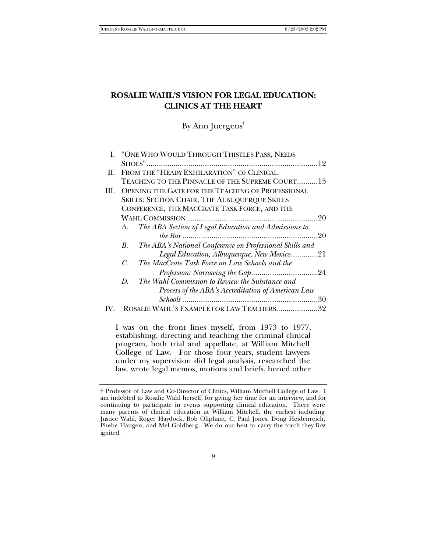### **ROSALIE WAHL'S VISION FOR LEGAL EDUCATION: CLINICS AT THE HEART**

By Ann Juergens†

|         | I. "ONE WHO WOULD THROUGH THISTLES PASS, NEEDS                 |  |
|---------|----------------------------------------------------------------|--|
|         |                                                                |  |
| Н.      | FROM THE "HEADY EXHILARATION" OF CLINICAL                      |  |
|         | TEACHING TO THE PINNACLE OF THE SUPREME COURT15                |  |
| III.    | <b>OPENING THE GATE FOR THE TEACHING OF PROFESSIONAL</b>       |  |
|         | <b>SKILLS: SECTION CHAIR, THE ALBUQUERQUE SKILLS</b>           |  |
|         | CONFERENCE, THE MACCRATE TASK FORCE, AND THE                   |  |
|         |                                                                |  |
|         | The ABA Section of Legal Education and Admissions to<br>A.     |  |
|         |                                                                |  |
|         | The ABA's National Conference on Professional Skills and<br>В. |  |
|         | Legal Education, Albuquerque, New Mexico21                     |  |
|         | The MacCrate Task Force on Law Schools and the<br>C.           |  |
|         |                                                                |  |
|         | The Wahl Commission to Review the Substance and<br>D.          |  |
|         | Process of the ABA's Accreditation of American Law             |  |
|         |                                                                |  |
| $W_{-}$ | ROSALIE WAHL'S EXAMPLE FOR LAW TEACHERS32                      |  |
|         |                                                                |  |

I was on the front lines myself, from 1973 to 1977, establishing, directing and teaching the criminal clinical program, both trial and appellate, at William Mitchell College of Law. For those four years, student lawyers under my supervision did legal analysis, researched the law, wrote legal memos, motions and briefs, honed other

<sup>†</sup> Professor of Law and Co-Director of Clinics, William Mitchell College of Law. I am indebted to Rosalie Wahl herself, for giving her time for an interview, and for continuing to participate in events supporting clinical education. There were many parents of clinical education at William Mitchell, the earliest including Justice Wahl, Roger Haydock, Bob Oliphant, C. Paul Jones, Doug Heidenreich, Phebe Haugen, and Mel Goldberg. We do our best to carry the torch they first ignited.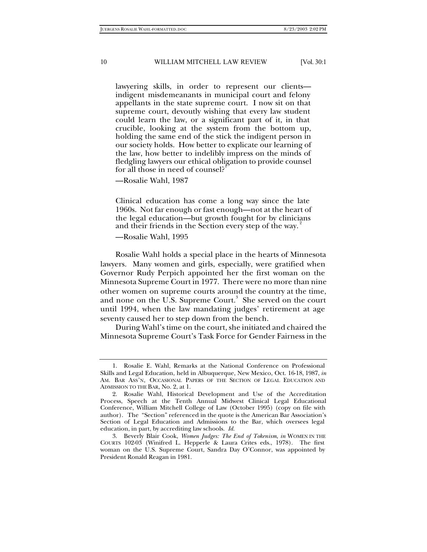lawyering skills, in order to represent our clients indigent misdemeanants in municipal court and felony appellants in the state supreme court. I now sit on that supreme court, devoutly wishing that every law student could learn the law, or a significant part of it, in that crucible, looking at the system from the bottom up, holding the same end of the stick the indigent person in our society holds. How better to explicate our learning of the law, how better to indelibly impress on the minds of fledgling lawyers our ethical obligation to provide counsel for all those in need of counsel?

—Rosalie Wahl, 1987

Clinical education has come a long way since the late 1960s. Not far enough or fast enough—not at the heart of the legal education—but growth fought for by clinicians and their friends in the Section every step of the way.

—Rosalie Wahl, 1995

Rosalie Wahl holds a special place in the hearts of Minnesota lawyers. Many women and girls, especially, were gratified when Governor Rudy Perpich appointed her the first woman on the Minnesota Supreme Court in 1977. There were no more than nine other women on supreme courts around the country at the time, and none on the U.S. Supreme Court. $^3$  She served on the court until 1994, when the law mandating judges' retirement at age seventy caused her to step down from the bench.

During Wahl's time on the court, she initiated and chaired the Minnesota Supreme Court's Task Force for Gender Fairness in the

<sup>1.</sup> Rosalie E. Wahl, Remarks at the National Conference on Professional Skills and Legal Education, held in Albuquerque, New Mexico, Oct. 16-18, 1987, *in* AM. BAR ASS'N, OCCASIONAL PAPERS OF THE SECTION OF LEGAL EDUCATION AND ADMISSION TO THE BAR, No. 2, at 1.

<sup>2.</sup> Rosalie Wahl, Historical Development and Use of the Accreditation Process, Speech at the Tenth Annual Midwest Clinical Legal Educational Conference, William Mitchell College of Law (October 1995) (copy on file with author). The "Section" referenced in the quote is the American Bar Association's Section of Legal Education and Admissions to the Bar, which oversees legal education, in part, by accrediting law schools. *Id.*

<sup>3.</sup> Beverly Blair Cook, *Women Judges: The End of Tokenism*, *in* WOMEN IN THE COURTS 102-03 (Winifred L. Hepperle & Laura Crites eds., 1978). The first woman on the U.S. Supreme Court, Sandra Day O'Connor, was appointed by President Ronald Reagan in 1981.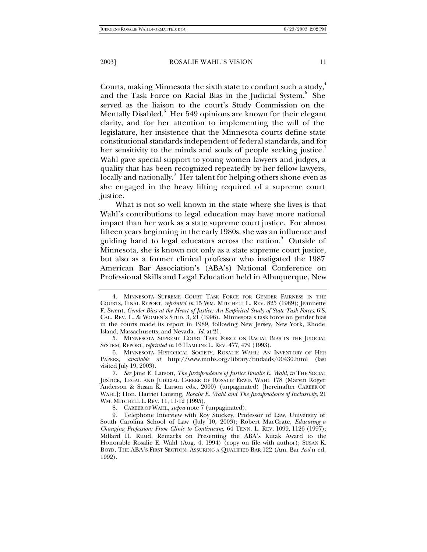Courts, making Minnesota the sixth state to conduct such a study, $4\pi$ and the Task Force on Racial Bias in the Judicial System.<sup>5</sup> She served as the liaison to the court's Study Commission on the Mentally Disabled. $^{\rm 6}$  Her 549 opinions are known for their elegant clarity, and for her attention to implementing the will of the legislature, her insistence that the Minnesota courts define state constitutional standards independent of federal standards, and for her sensitivity to the minds and souls of people seeking justice. Wahl gave special support to young women lawyers and judges, a quality that has been recognized repeatedly by her fellow lawyers, locally and nationally.<sup>8</sup> Her talent for helping others shone even as she engaged in the heavy lifting required of a supreme court justice.

What is not so well known in the state where she lives is that Wahl's contributions to legal education may have more national impact than her work as a state supreme court justice. For almost fifteen years beginning in the early 1980s, she was an influence and guiding hand to legal educators across the nation.<sup>9</sup> Outside of Minnesota, she is known not only as a state supreme court justice, but also as a former clinical professor who instigated the 1987 American Bar Association's (ABA's) National Conference on Professional Skills and Legal Education held in Albuquerque, New

<sup>4.</sup> MINNESOTA SUPREME COURT TASK FORCE FOR GENDER FAIRNESS IN THE COURTS, FINAL REPORT, *reprinted in* 15 WM. MITCHELL L. REV. 825 (1989); Jeannette F. Swent, *Gender Bias at the Heart of Justice: An Empirical Study of State Task Forces*, 6 S. CAL. REV. L. & WOMEN'S STUD. 3, 21 (1996). Minnesota's task force on gender bias in the courts made its report in 1989, following New Jersey, New York, Rhode Island, Massachusetts, and Nevada. *Id.* at 21.

<sup>5.</sup> MINNESOTA SUPREME COURT TASK FORCE ON RACIAL BIAS IN THE JUDICIAL SYSTEM, REPORT, *reprinted in* 16 HAMLINE L. REV. 477, 479 (1993).

<sup>6.</sup> MINNESOTA HISTORICAL SOCIETY, ROSALIE WAHL: AN INVENTORY OF HER PAPERS*, available at* http://www.mnhs.org/library/findaids/00430.html (last visited July 19, 2003).

<sup>7</sup>*. See* Jane E. Larson, *The Jurisprudence of Justice Rosalie E. Wahl*, *in* THE SOCIAL JUSTICE, LEGAL AND JUDICIAL CAREER OF ROSALIE ERWIN WAHL 178 (Marvin Roger Anderson & Susan K. Larson eds., 2000) (unpaginated) [hereinafter CAREER OF WAHL]; Hon. Harriet Lansing, *Rosalie E. Wahl and The Jurisprudence of Inclusivity*, 21 WM. MITCHELL L. REV. 11, 11-12 (1995).

<sup>8.</sup> CAREER OF WAHL, *supra* note 7 (unpaginated).

<sup>9.</sup> Telephone Interview with Roy Stuckey, Professor of Law, University of South Carolina School of Law (July 10, 2003); Robert MacCrate, *Educating a Changing Profession: From Clinic to Continuum*, 64 TENN. L. REV. 1099, 1126 (1997); Millard H. Ruud, Remarks on Presenting the ABA's Kutak Award to the Honorable Rosalie E. Wahl (Aug. 4, 1994) (copy on file with author); SUSAN K. BOYD, THE ABA'S FIRST SECTION: ASSURING A QUALIFIED BAR 122 (Am. Bar Ass'n ed. 1992).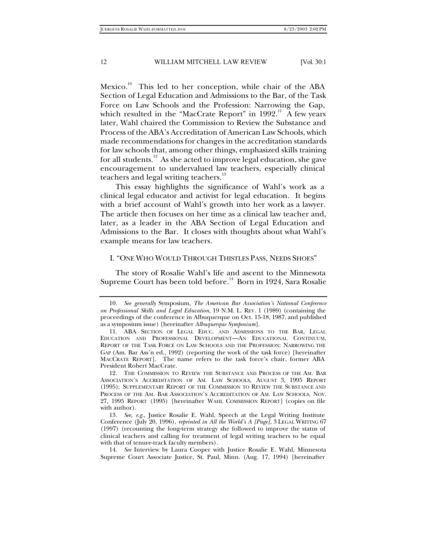Mexico.<sup>10</sup> This led to her conception, while chair of the ABA Section of Legal Education and Admissions to the Bar, of the Task Force on Law Schools and the Profession: Narrowing the Gap, which resulted in the "MacCrate Report" in 1992.<sup>11</sup> A few years later, Wahl chaired the Commission to Review the Substance and Process of the ABA's Accreditation of American Law Schools, which made recommendations for changes in the accreditation standards for law schools that, among other things, emphasized skills training for all students.<sup>12</sup> As she acted to improve legal education, she gave encouragement to undervalued law teachers, especially clinical teachers and legal writing teachers.<sup>13</sup>

This essay highlights the significance of Wahl's work as a clinical legal educator and activist for legal education. It begins with a brief account of Wahl's growth into her work as a lawyer. The article then focuses on her time as a clinical law teacher and, later, as a leader in the ABA Section of Legal Education and Admissions to the Bar. It closes with thoughts about what Wahl's example means for law teachers.

#### I. "ONE WHO WOULD THROUGH THISTLES PASS, NEEDS SHOES"

The story of Rosalie Wahl's life and ascent to the Minnesota Supreme Court has been told before.<sup>14</sup> Born in 1924, Sara Rosalie

<sup>10</sup>*. See generally* Symposium, *The American Bar Association's National Conference on Professional Skills and Legal Education*, 19 N.M. L. REV. 1 (1989) (containing the proceedings of the conference in Albuquerque on Oct. 15-18, 1987, and published as a symposium issue) [hereinafter *Albuquerque Symposium*].

<sup>11.</sup> ABA SECTION OF LEGAL EDUC. AND ADMISSIONS TO THE BAR, LEGAL EDUCATION AND PROFESSIONAL DEVELOPMENT—AN EDUCATIONAL CONTINUUM, REPORT OF THE TASK FORCE ON LAW SCHOOLS AND THE PROFESSION: NARROWING THE GAP (Am. Bar Ass'n ed., 1992) (reporting the work of the task force) [hereinafter MACCRATE REPORT]. The name refers to the task force's chair, former ABA President Robert MacCrate.

<sup>12.</sup> THE COMMISSION TO REVIEW THE SUBSTANCE AND PROCESS OF THE AM. BAR ASSOCIATION'S ACCREDITATION OF AM. LAW SCHOOLS, AUGUST 3, 1995 REPORT (1995); SUPPLEMENTARY REPORT OF THE COMMISSION TO REVIEW THE SUBSTANCE AND PROCESS OF THE AM. BAR ASSOCIATION'S ACCREDITATION OF AM. LAW SCHOOLS, NOV. 27, 1995 REPORT (1995) [hereinafter WAHL COMMISSION REPORT] (copies on file with author).

<sup>13</sup>*. See, e.g.*, Justice Rosalie E. Wahl, Speech at the Legal Writing Institute Conference (July 20, 1996), *reprinted in All the World's A [Page],* 3 LEGAL WRITING 67 (1997) (recounting the long-term strategy she followed to improve the status of clinical teachers and calling for treatment of legal writing teachers to be equal with that of tenure-track faculty members).

<sup>14</sup>*. See* Interview by Laura Cooper with Justice Rosalie E. Wahl, Minnesota Supreme Court Associate Justice, St. Paul, Minn. (Aug. 17, 1994) [hereinafter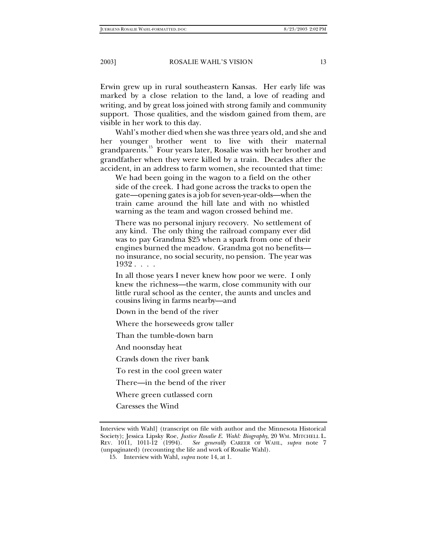Erwin grew up in rural southeastern Kansas. Her early life was marked by a close relation to the land, a love of reading and writing, and by great loss joined with strong family and community support. Those qualities, and the wisdom gained from them, are visible in her work to this day.

Wahl's mother died when she was three years old, and she and her younger brother went to live with their maternal grandparents.<sup>15</sup> Four years later, Rosalie was with her brother and grandfather when they were killed by a train. Decades after the accident, in an address to farm women, she recounted that time:

We had been going in the wagon to a field on the other side of the creek. I had gone across the tracks to open the gate—opening gates is a job for seven-year-olds—when the train came around the hill late and with no whistled warning as the team and wagon crossed behind me.

There was no personal injury recovery. No settlement of any kind. The only thing the railroad company ever did was to pay Grandma \$25 when a spark from one of their engines burned the meadow. Grandma got no benefits no insurance, no social security, no pension. The year was 1932 . . . .

In all those years I never knew how poor we were. I only knew the richness—the warm, close community with our little rural school as the center, the aunts and uncles and cousins living in farms nearby—and

Down in the bend of the river

Where the horseweeds grow taller

Than the tumble-down barn

And noonsday heat

Crawls down the river bank

To rest in the cool green water

There—in the bend of the river

Where green cutlassed corn

Caresses the Wind

Interview with Wahl] (transcript on file with author and the Minnesota Historical Society); Jessica Lipsky Roe, *Justice Rosalie E. Wahl: Biography*, 20 WM. MITCHELL L. REV. 1011, 1011-12 (1994). *See generally* CAREER OF WAHL, *supra* note 7 (unpaginated) (recounting the life and work of Rosalie Wahl).

<sup>15.</sup> Interview with Wahl, *supra* note 14, at 1.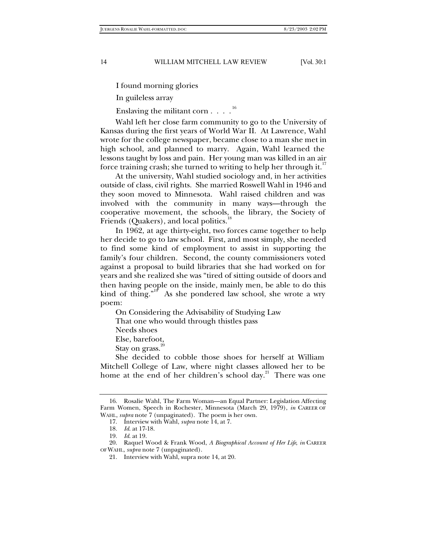I found morning glories

In guileless array

Enslaving the militant corn . . . .

Wahl left her close farm community to go to the University of Kansas during the first years of World War II. At Lawrence, Wahl wrote for the college newspaper, became close to a man she met in high school, and planned to marry. Again, Wahl learned the lessons taught by loss and pain. Her young man was killed in an air force training crash; she turned to writing to help her through it.<sup>17</sup>

At the university, Wahl studied sociology and, in her activities outside of class, civil rights. She married Roswell Wahl in 1946 and they soon moved to Minnesota. Wahl raised children and was involved with the community in many ways—through the cooperative movement, the schools, the library, the Society of Friends (Quakers), and local politics.<sup>1</sup>

In 1962, at age thirty-eight, two forces came together to help her decide to go to law school. First, and most simply, she needed to find some kind of employment to assist in supporting the family's four children. Second, the county commissioners voted against a proposal to build libraries that she had worked on for years and she realized she was "tired of sitting outside of doors and then having people on the inside, mainly men, be able to do this kind of thing."<sup>19</sup> As she pondered law school, she wrote a wry poem:

On Considering the Advisability of Studying Law That one who would through thistles pass

Needs shoes

Else, barefoot,

Stay on grass. $20$ 

She decided to cobble those shoes for herself at William Mitchell College of Law, where night classes allowed her to be home at the end of her children's school day.<sup>21</sup> There was one

<sup>16.</sup> Rosalie Wahl, The Farm Woman—an Equal Partner: Legislation Affecting Farm Women, Speech in Rochester, Minnesota (March 29, 1979), *in* CAREER OF WAHL, *supra* note 7 (unpaginated). The poem is her own.

<sup>17.</sup> Interview with Wahl, *supra* note 14, at 7.

<sup>18</sup>*. Id*. at 17-18.

<sup>19</sup>*. Id*. at 19.

<sup>20.</sup> Raquel Wood & Frank Wood, *A Biographical Account of Her Life*, *in* CAREER OF WAHL, *supra* note 7 (unpaginated).

<sup>21.</sup> Interview with Wahl, supra note 14, at 20.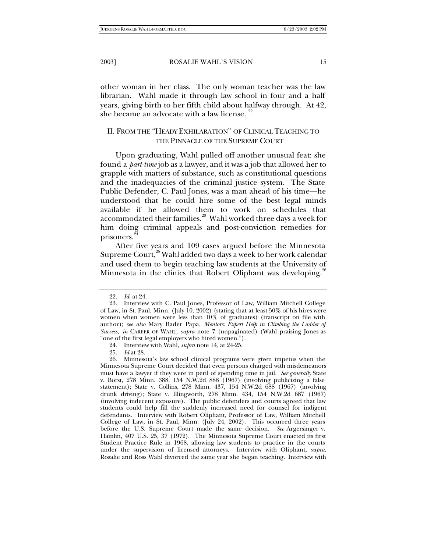other woman in her class. The only woman teacher was the law librarian. Wahl made it through law school in four and a half years, giving birth to her fifth child about halfway through. At 42, she became an advocate with a law license.  $22$ 

#### II. FROM THE "HEADY EXHILARATION" OF CLINICAL TEACHING TO THE PINNACLE OF THE SUPREME COURT

Upon graduating, Wahl pulled off another unusual feat: she found a *part-time* job as a lawyer, and it was a job that allowed her to grapple with matters of substance, such as constitutional questions and the inadequacies of the criminal justice system. The State Public Defender, C. Paul Jones, was a man ahead of his time—he understood that he could hire some of the best legal minds available if he allowed them to work on schedules that accommodated their families.<sup>23</sup> Wahl worked three days a week for him doing criminal appeals and post-conviction remedies for prisoners.<sup>2</sup>

After five years and 109 cases argued before the Minnesota Supreme Court,<sup>25</sup> Wahl added two days a week to her work calendar and used them to begin teaching law students at the University of Minnesota in the clinics that Robert Oliphant was developing.<sup>2</sup>

<sup>22</sup>*. Id*. at 24.

<sup>23.</sup> Interview with C. Paul Jones, Professor of Law, William Mitchell College of Law, in St. Paul, Minn. (July 10, 2002) (stating that at least 50% of his hires were women when women were less than 10% of graduates) (transcript on file with author); *see also* Mary Bader Papa, *Mentors: Expert Help in Climbing the Ladder of Success, in* CAREER OF WAHL, *supra* note 7 (unpaginated) (Wahl praising Jones as "one of the first legal employers who hired women.").

<sup>24.</sup> Interview with Wahl, *supra* note 14, at 24-25.

<sup>25</sup>*. Id* at 28.

<sup>26.</sup> Minnesota's law school clinical programs were given impetus when the Minnesota Supreme Court decided that even persons charged with misdemeanors must have a lawyer if they were in peril of spending time in jail. *See generally* State v. Borst, 278 Minn. 388, 154 N.W.2d 888 (1967) (involving publicizing a false statement); State v. Collins, 278 Minn. 437, 154 N.W.2d 688 (1967) (involving drunk driving); State v. Illingworth, 278 Minn. 434, 154 N.W.2d 687 (1967) (involving indecent exposure). The public defenders and courts agreed that law students could help fill the suddenly increased need for counsel for indigent defendants. Interview with Robert Oliphant, Professor of Law, William Mitchell College of Law, in St. Paul, Minn. (July 24, 2002). This occurred three years before the U.S. Supreme Court made the same decision. *See* Argersinger v. Hamlin, 407 U.S. 25, 37 (1972). The Minnesota Supreme Court enacted its first Student Practice Rule in 1968, allowing law students to practice in the courts under the supervision of licensed attorneys. Interview with Oliphant, *supra*. Rosalie and Ross Wahl divorced the same year she began teaching. Interview with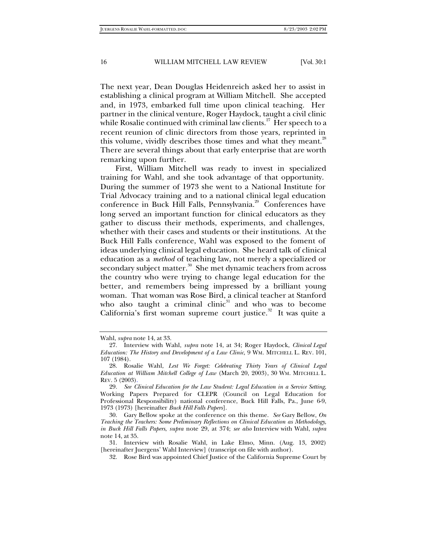The next year, Dean Douglas Heidenreich asked her to assist in establishing a clinical program at William Mitchell. She accepted and, in 1973, embarked full time upon clinical teaching. Her partner in the clinical venture, Roger Haydock, taught a civil clinic while Rosalie continued with criminal law clients.<sup>27</sup> Her speech to a recent reunion of clinic directors from those years, reprinted in this volume, vividly describes those times and what they meant.<sup>26</sup> There are several things about that early enterprise that are worth remarking upon further.

First, William Mitchell was ready to invest in specialized training for Wahl, and she took advantage of that opportunity. During the summer of 1973 she went to a National Institute for Trial Advocacy training and to a national clinical legal education conference in Buck Hill Falls, Pennsylvania.<sup>29</sup> Conferences have long served an important function for clinical educators as they gather to discuss their methods, experiments, and challenges, whether with their cases and students or their institutions. At the Buck Hill Falls conference, Wahl was exposed to the foment of ideas underlying clinical legal education. She heard talk of clinical education as a *method* of teaching law, not merely a specialized or secondary subject matter.<sup>30</sup> She met dynamic teachers from across the country who were trying to change legal education for the better, and remembers being impressed by a brilliant young woman. That woman was Rose Bird, a clinical teacher at Stanford who also taught a criminal clinic $31$  and who was to become California's first woman supreme court justice.<sup>32</sup> It was quite a

Wahl, *supra* note 14, at 33.

<sup>27.</sup> Interview with Wahl, *supra* note 14, at 34; Roger Haydock, *Clinical Legal Education: The History and Development of a Law Clinic*, 9 WM. MITCHELL L. REV. 101, 107 (1984).

<sup>28.</sup> Rosalie Wahl, *Lest We Forget: Celebrating Thirty Years of Clinical Legal Education at William Mitchell College of Law* (March 20, 2003), 30 WM. MITCHELL L. REV. 5 (2003).

<sup>29</sup>*. See Clinical Education for the Law Student: Legal Education in a Service Setting*, Working Papers Prepared for CLEPR (Council on Legal Education for Professional Responsibility) national conference, Buck Hill Falls, Pa., June 6-9, 1973 (1973) [hereinafter *Buck Hill Falls Papers*].

<sup>30.</sup> Gary Bellow spoke at the conference on this theme. *See* Gary Bellow, *On Teaching the Teachers: Some Preliminary Reflections on Clinical Education as Methodology*, *in Buck Hill Falls Papers*, *supra* note 29, at 374; *see also* Interview with Wahl, *supra* note 14, at 35.

<sup>31.</sup> Interview with Rosalie Wahl, in Lake Elmo, Minn. (Aug. 13, 2002) [hereinafter Juergens' Wahl Interview] (transcript on file with author).

<sup>32.</sup> Rose Bird was appointed Chief Justice of the California Supreme Court by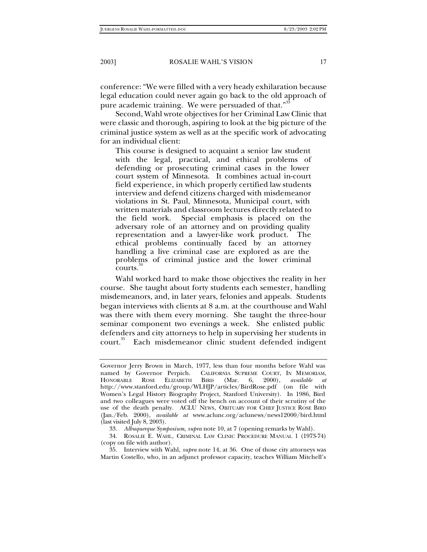conference: "We were filled with a very heady exhilaration because legal education could never again go back to the old approach of pure academic training. We were persuaded of that."<sup>33</sup>

Second, Wahl wrote objectives for her Criminal Law Clinic that were classic and thorough, aspiring to look at the big picture of the criminal justice system as well as at the specific work of advocating for an individual client:

This course is designed to acquaint a senior law student with the legal, practical, and ethical problems of defending or prosecuting criminal cases in the lower court system of Minnesota. It combines actual in-court field experience, in which properly certified law students interview and defend citizens charged with misdemeanor violations in St. Paul, Minnesota, Municipal court, with written materials and classroom lectures directly related to the field work. Special emphasis is placed on the adversary role of an attorney and on providing quality representation and a lawyer-like work product. The ethical problems continually faced by an attorney handling a live criminal case are explored as are the problems of criminal justice and the lower criminal courts.

Wahl worked hard to make those objectives the reality in her course. She taught about forty students each semester, handling misdemeanors, and, in later years, felonies and appeals. Students began interviews with clients at 8 a.m. at the courthouse and Wahl was there with them every morning. She taught the three-hour seminar component two evenings a week. She enlisted public defenders and city attorneys to help in supervising her students in court.<sup>35</sup> Each misdemeanor clinic student defended indigent

Governor Jerry Brown in March, 1977, less than four months before Wahl was named by Governor Perpich. CALIFORNIA SUPREME COURT, IN MEMORIAM, HONORABLE ROSE ELIZABETH BIRD (Mar. 6, 2000), *available at* http://www.stanford.edu/group/WLHJP/articles/BirdRose.pdf (on file with Women's Legal History Biography Project, Stanford University). In 1986, Bird and two colleagues were voted off the bench on account of their scrutiny of the use of the death penalty. ACLU NEWS, OBITUARY FOR CHIEF JUSTICE ROSE BIRD (Jan./Feb. 2000), *available at* www.aclunc.org/aclunews/news12000/bird.html (last visited July 8, 2003).

<sup>33</sup>*. Albuquerque Symposium, supra* note 10, at 7 (opening remarks by Wahl).

<sup>34.</sup> ROSALIE E. WAHL, CRIMINAL LAW CLINIC PROCEDURE MANUAL 1 (1973-74) (copy on file with author).

<sup>35.</sup> Interview with Wahl, *supra* note 14, at 36. One of those city attorneys was Martin Costello, who, in an adjunct professor capacity, teaches William Mitchell's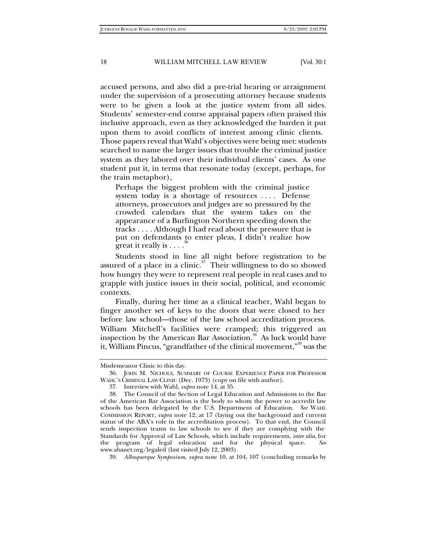accused persons, and also did a pre-trial hearing or arraignment under the supervision of a prosecuting attorney because students were to be given a look at the justice system from all sides. Students' semester-end course appraisal papers often praised this inclusive approach, even as they acknowledged the burden it put upon them to avoid conflicts of interest among clinic clients. Those papers reveal that Wahl's objectives were being met: students searched to name the larger issues that trouble the criminal justice system as they labored over their individual clients' cases. As one student put it, in terms that resonate today (except, perhaps, for the train metaphor),

Perhaps the biggest problem with the criminal justice system today is a shortage of resources . . . . Defense attorneys, prosecutors and judges are so pressured by the crowded calendars that the system takes on the appearance of a Burlington Northern speeding down the tracks . . . . Although I had read about the pressure that is put on defendants to enter pleas, I didn't realize how great it really is  $\dots$ 

Students stood in line all night before registration to be assured of a place in a clinic. $37$  Their willingness to do so showed how hungry they were to represent real people in real cases and to grapple with justice issues in their social, political, and economic contexts.

Finally, during her time as a clinical teacher, Wahl began to finger another set of keys to the doors that were closed to her before law school—those of the law school accreditation process. William Mitchell's facilities were cramped; this triggered an inspection by the American Bar Association.<sup>38</sup> As luck would have it, William Pincus, "grandfather of the clinical movement,"<sup>39</sup> was the

Misdemeanor Clinic to this day.

<sup>36.</sup> JOHN M. NICHOLS, SUMMARY OF COURSE EXPERIENCE PAPER FOR PROFESSOR WAHL'S CRIMINAL LAW CLINIC (Dec. 1973) (copy on file with author).

<sup>37.</sup> Interview with Wahl, *supra* note 14, at 35.

<sup>38.</sup> The Council of the Section of Legal Education and Admissions to the Bar of the American Bar Association is the body to whom the power to accredit law schools has been delegated by the U.S. Department of Education. *See* WAHL COMMISSION REPORT, *supra* note 12, at 17 (laying out the background and current status of the ABA's role in the accreditation process). To that end, the Council sends inspection teams to law schools to see if they are complying with the Standards for Approval of Law Schools, which include requirements, *inter alia*, for the program of legal education and for the physical space. *See* www.abanet.org/legaled (last visited July 12, 2003).

<sup>39</sup>*. Albuquerque Symposium*, *supra* note 10, at 104, 107 (concluding remarks by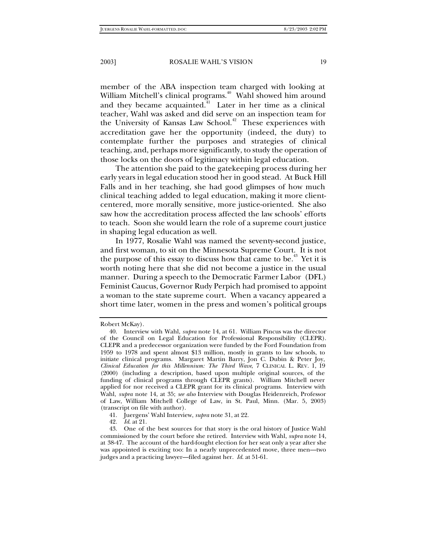member of the ABA inspection team charged with looking at William Mitchell's clinical programs.<sup>40</sup> Wahl showed him around and they became acquainted. $4<sup>41</sup>$  Later in her time as a clinical teacher, Wahl was asked and did serve on an inspection team for the University of Kansas Law School.<sup>42</sup> These experiences with accreditation gave her the opportunity (indeed, the duty) to contemplate further the purposes and strategies of clinical teaching, and, perhaps more significantly, to study the operation of those locks on the doors of legitimacy within legal education.

The attention she paid to the gatekeeping process during her early years in legal education stood her in good stead. At Buck Hill Falls and in her teaching, she had good glimpses of how much clinical teaching added to legal education, making it more clientcentered, more morally sensitive, more justice-oriented. She also saw how the accreditation process affected the law schools' efforts to teach. Soon she would learn the role of a supreme court justice in shaping legal education as well.

In 1977, Rosalie Wahl was named the seventy-second justice, and first woman, to sit on the Minnesota Supreme Court. It is not the purpose of this essay to discuss how that came to be.<sup>43</sup> Yet it is worth noting here that she did not become a justice in the usual manner. During a speech to the Democratic Farmer Labor (DFL) Feminist Caucus, Governor Rudy Perpich had promised to appoint a woman to the state supreme court. When a vacancy appeared a short time later, women in the press and women's political groups

Robert McKay).

<sup>40.</sup> Interview with Wahl, *supra* note 14, at 61. William Pincus was the director of the Council on Legal Education for Professional Responsibility (CLEPR). CLEPR and a predecessor organization were funded by the Ford Foundation from 1959 to 1978 and spent almost \$13 million, mostly in grants to law schools, to initiate clinical programs. Margaret Martin Barry, Jon C. Dubin & Peter Joy, *Clinical Education for this Millennium: The Third Wave*, 7 CLINICAL L. REV. 1, 19 (2000) (including a description, based upon multiple original sources, of the funding of clinical programs through CLEPR grants). William Mitchell never applied for nor received a CLEPR grant for its clinical programs. Interview with Wahl, *supra* note 14, at 35; *see also* Interview with Douglas Heidenreich, Professor of Law, William Mitchell College of Law, in St. Paul, Minn. (Mar. 5, 2003) (transcript on file with author).

<sup>41.</sup> Juergens' Wahl Interview, *supra* note 31, at 22.

<sup>42</sup>*. Id*. at 21.

<sup>43.</sup> One of the best sources for that story is the oral history of Justice Wahl commissioned by the court before she retired. Interview with Wahl, *supra* note 14, at 38-47. The account of the hard-fought election for her seat only a year after she was appointed is exciting too: In a nearly unprecedented move, three men—two judges and a practicing lawyer—filed against her. *Id*. at 51-61.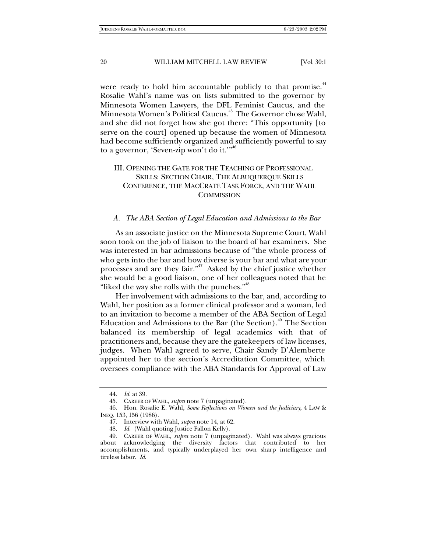were ready to hold him accountable publicly to that promise.<sup>44</sup> Rosalie Wahl's name was on lists submitted to the governor by Minnesota Women Lawyers, the DFL Feminist Caucus, and the Minnesota Women's Political Caucus.45 The Governor chose Wahl, and she did not forget how she got there: "This opportunity [to serve on the court] opened up because the women of Minnesota had become sufficiently organized and sufficiently powerful to say to a governor, 'Seven-zip won't do it."<sup>46</sup>

#### III. OPENING THE GATE FOR THE TEACHING OF PROFESSIONAL SKILLS: SECTION CHAIR, THE ALBUQUERQUE SKILLS CONFERENCE, THE MACCRATE TASK FORCE, AND THE WAHL **COMMISSION**

#### *A. The ABA Section of Legal Education and Admissions to the Bar*

As an associate justice on the Minnesota Supreme Court, Wahl soon took on the job of liaison to the board of bar examiners. She was interested in bar admissions because of "the whole process of who gets into the bar and how diverse is your bar and what are your processes and are they fair."<sup>47</sup> Asked by the chief justice whether she would be a good liaison, one of her colleagues noted that he "liked the way she rolls with the punches."<sup>48</sup>

Her involvement with admissions to the bar, and, according to Wahl, her position as a former clinical professor and a woman, led to an invitation to become a member of the ABA Section of Legal Education and Admissions to the Bar (the Section).<sup>49</sup> The Section balanced its membership of legal academics with that of practitioners and, because they are the gatekeepers of law licenses, judges. When Wahl agreed to serve, Chair Sandy D'Alemberte appointed her to the section's Accreditation Committee, which oversees compliance with the ABA Standards for Approval of Law

<sup>44</sup>*. Id*. at 39.

<sup>45.</sup> CAREER OF WAHL, *supra* note 7 (unpaginated).

<sup>46.</sup> Hon. Rosalie E. Wahl, *Some Reflections on Women and the Judiciary*, 4 LAW & INEQ. 153, 156 (1986).

<sup>47.</sup> Interview with Wahl, *supra* note 14, at 62.

<sup>48</sup>*. Id.* (Wahl quoting Justice Fallon Kelly).

<sup>49.</sup> CAREER OF WAHL, *supra* note 7 (unpaginated). Wahl was always gracious about acknowledging the diversity factors that contributed to her accomplishments, and typically underplayed her own sharp intelligence and tireless labor. *Id*.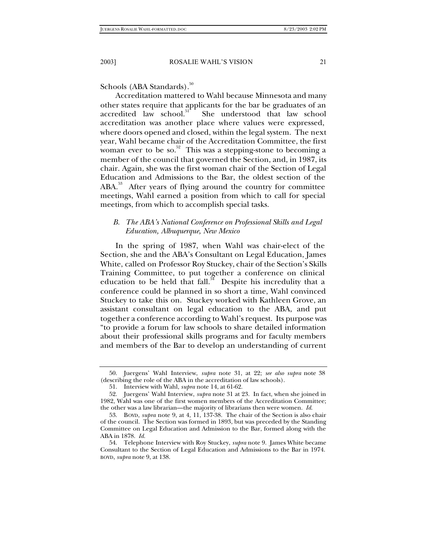Schools (ABA Standards).<sup>50</sup>

Accreditation mattered to Wahl because Minnesota and many other states require that applicants for the bar be graduates of an accredited law school.<sup>51</sup> She understood that law school She understood that law school accreditation was another place where values were expressed, where doors opened and closed, within the legal system. The next year, Wahl became chair of the Accreditation Committee, the first woman ever to be so.<sup>52</sup> This was a stepping-stone to becoming a member of the council that governed the Section, and, in 1987, its chair. Again, she was the first woman chair of the Section of Legal Education and Admissions to the Bar, the oldest section of the ABA.<sup>53</sup> After years of flying around the country for committee meetings, Wahl earned a position from which to call for special meetings, from which to accomplish special tasks.

#### *B. The ABA's National Conference on Professional Skills and Legal Education, Albuquerque, New Mexico*

In the spring of 1987, when Wahl was chair-elect of the Section, she and the ABA's Consultant on Legal Education, James White, called on Professor Roy Stuckey, chair of the Section's Skills Training Committee, to put together a conference on clinical education to be held that fall. $54$  Despite his incredulity that a conference could be planned in so short a time, Wahl convinced Stuckey to take this on. Stuckey worked with Kathleen Grove, an assistant consultant on legal education to the ABA, and put together a conference according to Wahl's request. Its purpose was "to provide a forum for law schools to share detailed information about their professional skills programs and for faculty members and members of the Bar to develop an understanding of current

<sup>50.</sup> Juergens' Wahl Interview, *supra* note 31, at 22; *see also supra* note 38 (describing the role of the ABA in the accreditation of law schools).

<sup>51.</sup> Interview with Wahl, *supra* note 14, at 61-62.

<sup>52.</sup> Juergens' Wahl Interview, *supra* note 31 at 23. In fact, when she joined in 1982, Wahl was one of the first women members of the Accreditation Committee; the other was a law librarian—the majority of librarians then were women. *Id*.

<sup>53.</sup> BOYD, *supra* note 9, at 4, 11, 137-38. The chair of the Section is also chair of the council. The Section was formed in 1893, but was preceded by the Standing Committee on Legal Education and Admission to the Bar, formed along with the ABA in 1878. *Id.*

<sup>54.</sup> Telephone Interview with Roy Stuckey, *supra* note 9. James White became Consultant to the Section of Legal Education and Admissions to the Bar in 1974. BOYD, *supra* note 9, at 138.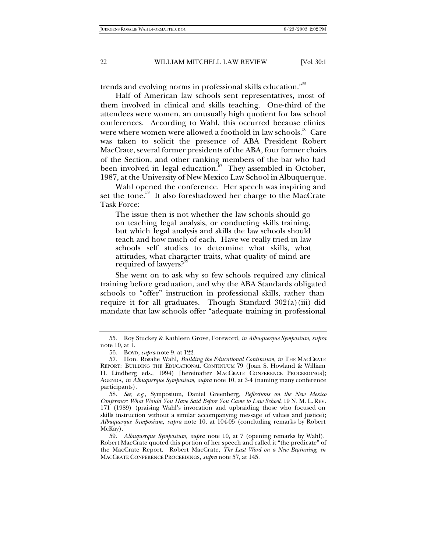trends and evolving norms in professional skills education."<sup>55</sup>

Half of American law schools sent representatives, most of them involved in clinical and skills teaching. One-third of the attendees were women, an unusually high quotient for law school conferences. According to Wahl, this occurred because clinics were where women were allowed a foothold in law schools.<sup>56</sup> Care was taken to solicit the presence of ABA President Robert MacCrate, several former presidents of the ABA, four former chairs of the Section, and other ranking members of the bar who had been involved in legal education.<sup>57</sup> They assembled in October, 1987, at the University of New Mexico Law School in Albuquerque.

Wahl opened the conference. Her speech was inspiring and set the tone.<sup>58</sup> It also foreshadowed her charge to the MacCrate Task Force:

The issue then is not whether the law schools should go on teaching legal analysis, or conducting skills training, but which legal analysis and skills the law schools should teach and how much of each. Have we really tried in law schools self studies to determine what skills, what attitudes, what character traits, what quality of mind are required of lawyers?

She went on to ask why so few schools required any clinical training before graduation, and why the ABA Standards obligated schools to "offer" instruction in professional skills, rather than require it for all graduates. Though Standard 302(a)(iii) did mandate that law schools offer "adequate training in professional

<sup>55.</sup> Roy Stuckey & Kathleen Grove, Foreword, *in Albuquerque Symposium, supra*  note 10, at 1.

<sup>56.</sup> BOYD, *supra* note 9, at 122.

<sup>57.</sup> Hon. Rosalie Wahl, *Building the Educational Continuum*, *in* THE MACCRATE REPORT: BUILDING THE EDUCATIONAL CONTINUUM 79 (Joan S. Howland & William H. Lindberg eds., 1994) [hereinafter MACCRATE CONFERENCE PROCEEDINGS]; AGENDA, *in Albuquerque Symposium*, *supra* note 10, at 3-4 (naming many conference participants).

<sup>58</sup>*. See, e.g*., Symposium, Daniel Greenberg, *Reflections on the New Mexico Conference: What Would You Have Said Before You Came to Law School*, 19 N. M. L.REV. 171 (1989) (praising Wahl's invocation and upbraiding those who focused on skills instruction without a similar accompanying message of values and justice); *Albuquerque Symposium*, *supra* note 10, at 104-05 (concluding remarks by Robert McKay).

<sup>59</sup>*. Albuquerque Symposium, supra* note 10, at 7 (opening remarks by Wahl). Robert MacCrate quoted this portion of her speech and called it "the predicate" of the MacCrate Report. Robert MacCrate, *The Last Word on a New Beginning, in*  MACCRATE CONFERENCE PROCEEDINGS, *supra* note 57, at 145.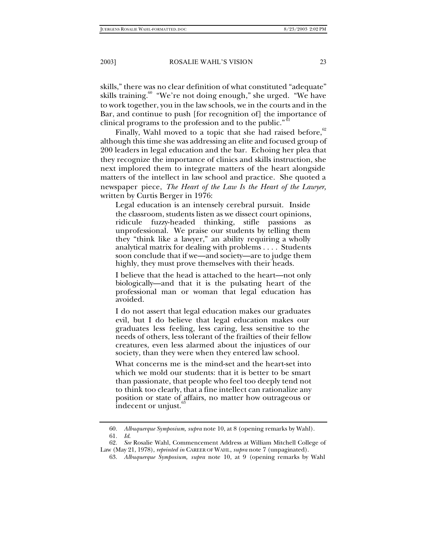skills," there was no clear definition of what constituted "adequate" skills training.<sup>60</sup> "We're not doing enough," she urged. "We have to work together, you in the law schools, we in the courts and in the Bar, and continue to push [for recognition of] the importance of clinical programs to the profession and to the public."<sup>61</sup>

Finally, Wahl moved to a topic that she had raised before, $62$ although this time she was addressing an elite and focused group of 200 leaders in legal education and the bar. Echoing her plea that they recognize the importance of clinics and skills instruction, she next implored them to integrate matters of the heart alongside matters of the intellect in law school and practice. She quoted a newspaper piece, *The Heart of the Law Is the Heart of the Lawyer,* written by Curtis Berger in 1976:

Legal education is an intensely cerebral pursuit. Inside the classroom, students listen as we dissect court opinions, ridicule fuzzy-headed thinking, stifle passions as unprofessional. We praise our students by telling them they "think like a lawyer," an ability requiring a wholly analytical matrix for dealing with problems . . . . Students soon conclude that if we—and society—are to judge them highly, they must prove themselves with their heads.

I believe that the head is attached to the heart—not only biologically—and that it is the pulsating heart of the professional man or woman that legal education has avoided.

I do not assert that legal education makes our graduates evil, but I do believe that legal education makes our graduates less feeling, less caring, less sensitive to the needs of others, less tolerant of the frailties of their fellow creatures, even less alarmed about the injustices of our society, than they were when they entered law school.

What concerns me is the mind-set and the heart-set into which we mold our students: that it is better to be smart than passionate, that people who feel too deeply tend not to think too clearly, that a fine intellect can rationalize any position or state of affairs, no matter how outrageous or indecent or unjust.

<sup>60</sup>*. Albuquerque Symposium, supra* note 10, at 8 (opening remarks by Wahl). 61*. Id*.

<sup>62</sup>*. See* Rosalie Wahl, Commencement Address at William Mitchell College of Law (May 21, 1978), *reprinted in* CAREER OF WAHL, *supra* note 7 (unpaginated).

<sup>63</sup>*. Albuquerque Symposium, supra* note 10, at 9 (opening remarks by Wahl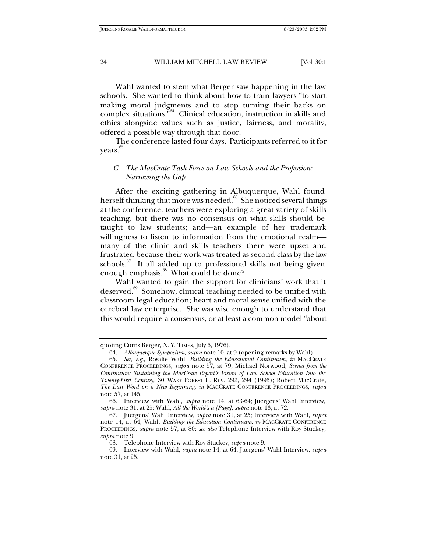Wahl wanted to stem what Berger saw happening in the law schools. She wanted to think about how to train lawyers "to start making moral judgments and to stop turning their backs on complex situations."64 Clinical education, instruction in skills and ethics alongside values such as justice, fairness, and morality, offered a possible way through that door.

The conference lasted four days. Participants referred to it for years.<sup>65</sup>

#### *C. The MacCrate Task Force on Law Schools and the Profession: Narrowing the Gap*

After the exciting gathering in Albuquerque, Wahl found herself thinking that more was needed.<sup>66</sup> She noticed several things at the conference: teachers were exploring a great variety of skills teaching, but there was no consensus on what skills should be taught to law students; and—an example of her trademark willingness to listen to information from the emotional realm many of the clinic and skills teachers there were upset and frustrated because their work was treated as second-class by the law schools. $67$  It all added up to professional skills not being given enough emphasis.<sup>68</sup> What could be done?

Wahl wanted to gain the support for clinicians' work that it deserved.<sup>69</sup> Somehow, clinical teaching needed to be unified with classroom legal education; heart and moral sense unified with the cerebral law enterprise. She was wise enough to understand that this would require a consensus, or at least a common model "about

quoting Curtis Berger, N. Y. TIMES, July 6, 1976).

<sup>64</sup>*. Albuquerque Symposium, supra* note 10, at 9 (opening remarks by Wahl).

<sup>65</sup>*. See, e.g.*, Rosalie Wahl, *Building the Educational Continuum*, *in* MACCRATE CONFERENCE PROCEEDINGS, *supra* note 57, at 79; Michael Norwood, *Scenes from the Continuum: Sustaining the MacCrate Report's Vision of Law School Education Into the Twenty-First Century*, 30 WAKE FOREST L. REV. 293, 294 (1995); Robert MacCrate, *The Last Word on a New Beginning*, *in* MACCRATE CONFERENCE PROCEEDINGS, *supra* note 57, at 145.

<sup>66.</sup> Interview with Wahl, *supra* note 14, at 63-64; Juergens' Wahl Interview, *supra* note 31, at 25; Wahl, *All the World's a [Page]*, *supra* note 13, at 72.

<sup>67.</sup> Juergens' Wahl Interview, *supra* note 31, at 25; Interview with Wahl, *supra* note 14, at 64; Wahl, *Building the Education Continuum*, *in* MACCRATE CONFERENCE PROCEEDINGS, *supra* note 57, at 80; *see also* Telephone Interview with Roy Stuckey, *supra* note 9.

<sup>68.</sup> Telephone Interview with Roy Stuckey, *supra* note 9.

<sup>69.</sup> Interview with Wahl, *supra* note 14, at 64; Juergens' Wahl Interview, *supra* note 31, at 25.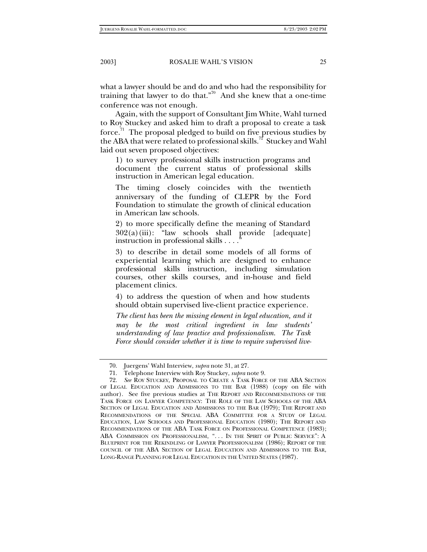what a lawyer should be and do and who had the responsibility for training that lawyer to do that."70 And she knew that a one-time conference was not enough.

Again, with the support of Consultant Jim White, Wahl turned to Roy Stuckey and asked him to draft a proposal to create a task force. $\frac{7}{1}$  The proposal pledged to build on five previous studies by the ABA that were related to professional skills.<sup>12</sup> Stuckey and Wahl laid out seven proposed objectives:

1) to survey professional skills instruction programs and document the current status of professional skills instruction in American legal education.

The timing closely coincides with the twentieth anniversary of the funding of CLEPR by the Ford Foundation to stimulate the growth of clinical education in American law schools.

2) to more specifically define the meaning of Standard  $302(a)(iii)$ : "law schools shall provide [adequate] instruction in professional skills  $\dots$ 

3) to describe in detail some models of all forms of experiential learning which are designed to enhance professional skills instruction, including simulation courses, other skills courses, and in-house and field placement clinics.

4) to address the question of when and how students should obtain supervised live-client practice experience.

*The client has been the missing element in legal education, and it may be the most critical ingredient in law students' understanding of law practice and professionalism. The Task Force should consider whether it is time to require supervised live-*

<sup>70.</sup> Juergens' Wahl Interview, *supra* note 31, at 27.

<sup>71.</sup> Telephone Interview with Roy Stuckey, *supra* note 9.

<sup>72</sup>*. See* ROY STUCKEY, PROPOSAL TO CREATE A TASK FORCE OF THE ABA SECTION OF LEGAL EDUCATION AND ADMISSIONS TO THE BAR (1988) (copy on file with author). See five previous studies at THE REPORT AND RECOMMENDATIONS OF THE TASK FORCE ON LAWYER COMPETENCY: THE ROLE OF THE LAW SCHOOLS OF THE ABA SECTION OF LEGAL EDUCATION AND ADMISSIONS TO THE BAR (1979); THE REPORT AND RECOMMENDATIONS OF THE SPECIAL ABA COMMITTEE FOR A STUDY OF LEGAL EDUCATION, LAW SCHOOLS AND PROFESSIONAL EDUCATION (1980); THE REPORT AND RECOMMENDATIONS OF THE ABA TASK FORCE ON PROFESSIONAL COMPETENCE (1983); ABA COMMISSION ON PROFESSIONALISM, "... IN THE SPIRIT OF PUBLIC SERVICE": A BLUEPRINT FOR THE REKINDLING OF LAWYER PROFESSIONALISM (1986); REPORT OF THE COUNCIL OF THE ABA SECTION OF LEGAL EDUCATION AND ADMISSIONS TO THE BAR, LONG-RANGE PLANNING FOR LEGAL EDUCATION IN THE UNITED STATES (1987).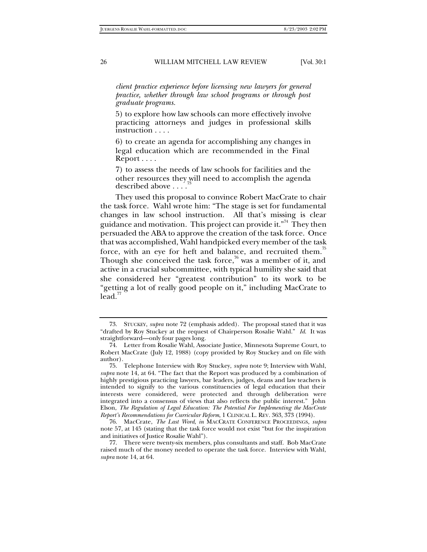*client practice experience before licensing new lawyers for general practice, whether through law school programs or through post graduate programs.*

5) to explore how law schools can more effectively involve practicing attorneys and judges in professional skills instruction . . . .

6) to create an agenda for accomplishing any changes in legal education which are recommended in the Final Report . . . .

7) to assess the needs of law schools for facilities and the other resources they will need to accomplish the agenda described above ....

They used this proposal to convince Robert MacCrate to chair the task force. Wahl wrote him: "The stage is set for fundamental changes in law school instruction. All that's missing is clear guidance and motivation. This project can provide it."<sup>74</sup> They then persuaded the ABA to approve the creation of the task force. Once that was accomplished, Wahl handpicked every member of the task force, with an eye for heft and balance, and recruited them.<sup>75</sup> Though she conceived the task force,<sup>76</sup> was a member of it, and active in a crucial subcommittee, with typical humility she said that she considered her "greatest contribution" to its work to be "getting a lot of really good people on it," including MacCrate to  $lead.$ 

<sup>73.</sup> STUCKEY, *supra* note 72 (emphasis added). The proposal stated that it was "drafted by Roy Stuckey at the request of Chairperson Rosalie Wahl." *Id*. It was straightforward—only four pages long.

<sup>74.</sup> Letter from Rosalie Wahl, Associate Justice, Minnesota Supreme Court, to Robert MacCrate (July 12, 1988) (copy provided by Roy Stuckey and on file with author).

<sup>75.</sup> Telephone Interview with Roy Stuckey, *supra* note 9; Interview with Wahl, *supra* note 14, at 64. "The fact that the Report was produced by a combination of highly prestigious practicing lawyers, bar leaders, judges, deans and law teachers is intended to signify to the various constituencies of legal education that their interests were considered, were protected and through deliberation were integrated into a consensus of views that also reflects the public interest." John Elson, *The Regulation of Legal Education: The Potential For Implementing the MacCrate Report's Recommendations for Curricular Reform*, 1 CLINICAL L. REV. 363, 373 (1994).

<sup>76.</sup> MacCrate, *The Last Word*, *in* MACCRATE CONFERENCE PROCEEDINGS, *supra* note 57, at 145 (stating that the task force would not exist "but for the inspiration and initiatives of Justice Rosalie Wahl").

<sup>77.</sup> There were twenty-six members, plus consultants and staff. Bob MacCrate raised much of the money needed to operate the task force. Interview with Wahl, *supra* note 14, at 64.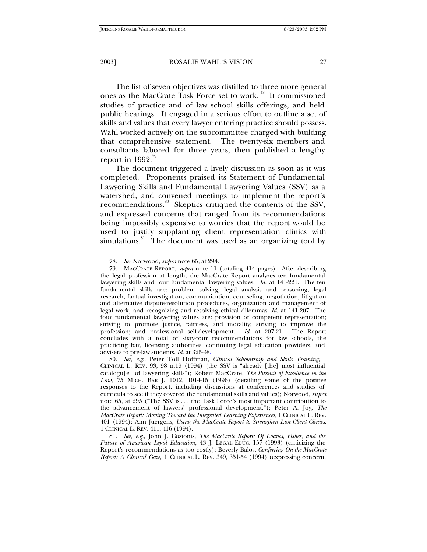The list of seven objectives was distilled to three more general ones as the MacCrate Task Force set to work.<sup>78</sup> It commissioned studies of practice and of law school skills offerings, and held public hearings. It engaged in a serious effort to outline a set of skills and values that every lawyer entering practice should possess. Wahl worked actively on the subcommittee charged with building that comprehensive statement. The twenty-six members and consultants labored for three years, then published a lengthy report in 1992. $\frac{79}{7}$ 

The document triggered a lively discussion as soon as it was completed. Proponents praised its Statement of Fundamental Lawyering Skills and Fundamental Lawyering Values (SSV) as a watershed, and convened meetings to implement the report's recommendations.<sup>80</sup> Skeptics critiqued the contents of the SSV, and expressed concerns that ranged from its recommendations being impossibly expensive to worries that the report would be used to justify supplanting client representation clinics with simulations.<sup>81</sup> The document was used as an organizing tool by

81*. See, e.g.*, John J. Costonis, *The MacCrate Report: Of Loaves, Fishes, and the Future of American Legal Education*, 43 J. LEGAL EDUC. 157 (1993) (criticizing the Report's recommendations as too costly); Beverly Balos, *Conferring On the MacCrate Report: A Clinical Gaze*, 1 CLINICAL L. REV. 349, 351-54 (1994) (expressing concern,

<sup>78</sup>*. See* Norwood, *supra* note 65, at 294.

<sup>79.</sup> MACCRATE REPORT, *supra* note 11 (totaling 414 pages). After describing the legal profession at length, the MacCrate Report analyzes ten fundamental lawyering skills and four fundamental lawyering values. *Id.* at 141-221. The ten fundamental skills are: problem solving, legal analysis and reasoning, legal research, factual investigation, communication, counseling, negotiation, litigation and alternative dispute-resolution procedures, organization and management of legal work, and recognizing and resolving ethical dilemmas. *Id*. at 141-207. The four fundamental lawyering values are: provision of competent representation; striving to promote justice, fairness, and morality; striving to improve the profession; and professional self-development. *Id*. at 207-21. The Report concludes with a total of sixty-four recommendations for law schools, the practicing bar, licensing authorities, continuing legal education providers, and advisers to pre-law students. *Id*. at 325-38.

<sup>80</sup>*. See, e.g.*, Peter Toll Hoffman, *Clinical Scholarship and Skills Training*, 1 CLINICAL L. REV. 93, 98 n.19 (1994) (the SSV is "already [the] most influential catalogu[e] of lawyering skills"); Robert MacCrate, *The Pursuit of Excellence in the Law*, 75 MICH. BAR J. 1012, 1014-15 (1996) (detailing some of the positive responses to the Report, including discussions at conferences and studies of curricula to see if they covered the fundamental skills and values); Norwood, *supra* note 65, at 295 ("The SSV is . . . the Task Force's most important contribution to the advancement of lawyers' professional development."); Peter A. Joy, *The MacCrate Report: Moving Toward the Integrated Learning Experiences*, 1 CLINICAL L. REV. 401 (1994); Ann Juergens, *Using the MacCrate Report to Strengthen Live-Client Clinics*, 1 CLINICAL L. REV. 411, 416 (1994).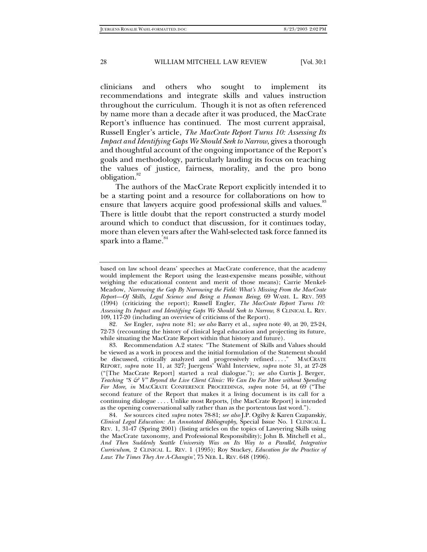clinicians and others who sought to implement its recommendations and integrate skills and values instruction throughout the curriculum. Though it is not as often referenced by name more than a decade after it was produced, the MacCrate Report's influence has continued. The most current appraisal, Russell Engler's article, *The MacCrate Report Turns 10: Assessing Its Impact and Identifying Gaps We Should Seek to Narrow*, gives a thorough and thoughtful account of the ongoing importance of the Report's goals and methodology, particularly lauding its focus on teaching the values of justice, fairness, morality, and the pro bono obligation.<sup>82</sup>

The authors of the MacCrate Report explicitly intended it to be a starting point and a resource for collaborations on how to ensure that lawyers acquire good professional skills and values.<sup>83</sup> There is little doubt that the report constructed a sturdy model around which to conduct that discussion, for it continues today, more than eleven years after the Wahl-selected task force fanned its spark into a flame.<sup>84</sup>

82*. See* Engler, *supra* note 81; *see also* Barry et al., *supra* note 40, at 20, 23-24, 72-73 (recounting the history of clinical legal education and projecting its future, while situating the MacCrate Report within that history and future).

based on law school deans' speeches at MacCrate conference, that the academy would implement the Report using the least-expensive means possible, without weighing the educational content and merit of those means); Carrie Menkel-Meadow, *Narrowing the Gap By Narrowing the Field: What's Missing From the MacCrate Report—Of Skills, Legal Science and Being a Human Being*, 69 WASH. L. REV. 593 (1994) (criticizing the report); Russell Engler, *The MacCrate Report Turns 10: Assessing Its Impact and Identifying Gaps We Should Seek to Narrow*, 8 CLINICAL L. REV. 109, 117-20 (including an overview of criticisms of the Report).

<sup>83.</sup> Recommendation A.2 states: "The Statement of Skills and Values should be viewed as a work in process and the initial formulation of the Statement should be discussed, critically analyzed and progressively refined ...." MACCRATE REPORT, *supra* note 11, at 327; Juergens' Wahl Interview, *supra* note 31, at 27-28 ("[The MacCrate Report] started a real dialogue."); *see also* Curtis J. Berger, *Teaching "S & V" Beyond the Live Client Clinic: We Can Do Far More without Spending Far More*, *in* MACCRATE CONFERENCE PROCEEDINGS, *supra* note 54, at 69 ("The second feature of the Report that makes it a living document is its call for a continuing dialogue . . . . Unlike most Reports, [the MacCrate Report] is intended as the opening conversational sally rather than as the portentous last word.").

<sup>84</sup>*. See* sources cited *supra* notes 78-81; *see also* J.P. Ogilvy & Karen Czapanskiy, *Clinical Legal Education: An Annotated Bibliography*, Special Issue No. 1 CLINICAL L. REV. 1, 31-47 (Spring 2001) (listing articles on the topics of Lawyering Skills using the MacCrate taxonomy, and Professional Responsibility); John B. Mitchell et al., *And Then Suddenly Seattle University Was on Its Way to a Parallel, Integrative Curriculum*, 2 CLINICAL L. REV. 1 (1995); Roy Stuckey, *Education for the Practice of Law*: *The Times They Are A-Changin'*, 75 NEB. L. REV. 648 (1996).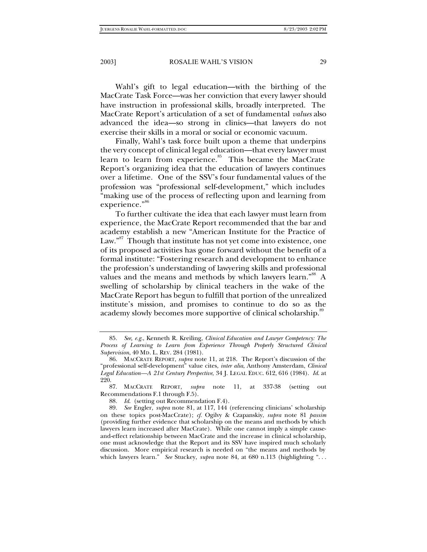Wahl's gift to legal education—with the birthing of the MacCrate Task Force—was her conviction that every lawyer should have instruction in professional skills, broadly interpreted. The MacCrate Report's articulation of a set of fundamental *values* also advanced the idea—so strong in clinics—that lawyers do not exercise their skills in a moral or social or economic vacuum.

Finally, Wahl's task force built upon a theme that underpins the very concept of clinical legal education—that every lawyer must learn to learn from experience. $85$  This became the MacCrate Report's organizing idea that the education of lawyers continues over a lifetime. One of the SSV's four fundamental values of the profession was "professional self-development," which includes "making use of the process of reflecting upon and learning from experience."<sup>86</sup>

To further cultivate the idea that each lawyer must learn from experience, the MacCrate Report recommended that the bar and academy establish a new "American Institute for the Practice of Law."<sup>87</sup> Though that institute has not yet come into existence, one of its proposed activities has gone forward without the benefit of a formal institute: "Fostering research and development to enhance the profession's understanding of lawyering skills and professional values and the means and methods by which lawyers learn."<sup>88</sup> A swelling of scholarship by clinical teachers in the wake of the MacCrate Report has begun to fulfill that portion of the unrealized institute's mission, and promises to continue to do so as the academy slowly becomes more supportive of clinical scholarship.<sup>89</sup>

87. MACCRATE REPORT, *supra* note 11, at 337-38 (setting out Recommendations F.1 through F.5).

88*. Id*. (setting out Recommendation F.4).

<sup>85</sup>*. See, e.g.*, Kenneth R. Kreiling, *Clinical Education and Lawyer Competency: The Process of Learning to Learn from Experience Through Properly Structured Clinical Supervision*, 40 MD. L. REV. 284 (1981).

<sup>86.</sup> MACCRATE REPORT, *supra* note 11, at 218. The Report's discussion of the "professional self-development" value cites, *inter alia*, Anthony Amsterdam, *Clinical Legal Education—A 21st Century Perspective*, 34 J. LEGAL EDUC. 612, 616 (1984). *Id*. at 220.

<sup>89</sup>*. See* Engler, *supra* note 81, at 117, 144 (referencing clinicians' scholarship on these topics post-MacCrate); *cf.* Ogilvy & Czapanskiy, *supra* note 81 *passim* (providing further evidence that scholarship on the means and methods by which lawyers learn increased after MacCrate). While one cannot imply a simple causeand-effect relationship between MacCrate and the increase in clinical scholarship, one must acknowledge that the Report and its SSV have inspired much scholarly discussion. More empirical research is needed on "the means and methods by which lawyers learn." *See* Stuckey, *supra* note 84, at 680 n.113 (highlighting "...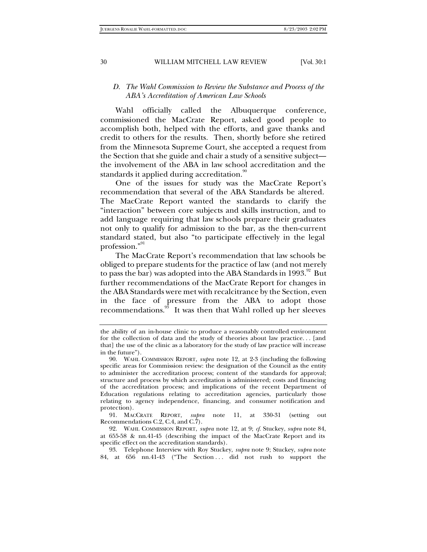#### *D. The Wahl Commission to Review the Substance and Process of the ABA's Accreditation of American Law Schools*

Wahl officially called the Albuquerque conference, commissioned the MacCrate Report, asked good people to accomplish both, helped with the efforts, and gave thanks and credit to others for the results. Then, shortly before she retired from the Minnesota Supreme Court, she accepted a request from the Section that she guide and chair a study of a sensitive subject the involvement of the ABA in law school accreditation and the standards it applied during accreditation. $90$ 

One of the issues for study was the MacCrate Report's recommendation that several of the ABA Standards be altered. The MacCrate Report wanted the standards to clarify the "interaction" between core subjects and skills instruction, and to add language requiring that law schools prepare their graduates not only to qualify for admission to the bar, as the then-current standard stated, but also "to participate effectively in the legal profession."91

The MacCrate Report's recommendation that law schools be obliged to prepare students for the practice of law (and not merely to pass the bar) was adopted into the ABA Standards in  $1993$ .<sup>92</sup> But further recommendations of the MacCrate Report for changes in the ABA Standards were met with recalcitrance by the Section, even in the face of pressure from the ABA to adopt those recommendations.<sup>93</sup> It was then that Wahl rolled up her sleeves

91. MACCRATE REPORT, *supra* note 11, at 330-31 (setting out Recommendations C.2, C.4, and C. $\hat{7}$ ).

92. WAHL COMMISSION REPORT, *supra* note 12, at 9; *cf.* Stuckey, *supra* note 84, at 655-58 & nn.41-45 (describing the impact of the MacCrate Report and its specific effect on the accreditation standards).

93. Telephone Interview with Roy Stuckey, *supra* note 9; Stuckey, *supra* note 84, at 656 nn.41-43 ("The Section ... did not rush to support the

the ability of an in-house clinic to produce a reasonably controlled environment for the collection of data and the study of theories about law practice. . . [and that] the use of the clinic as a laboratory for the study of law practice will increase in the future").

<sup>90.</sup> WAHL COMMISSION REPORT, *supra* note 12, at 2-3 (including the following specific areas for Commission review: the designation of the Council as the entity to administer the accreditation process; content of the standards for approval; structure and process by which accreditation is administered; costs and financing of the accreditation process; and implications of the recent Department of Education regulations relating to accreditation agencies, particularly those relating to agency independence, financing, and consumer notification and protection).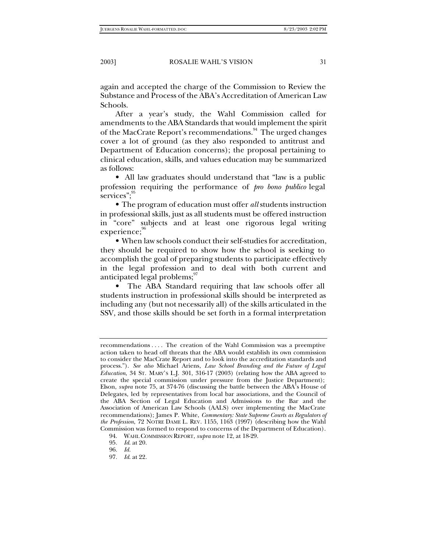again and accepted the charge of the Commission to Review the Substance and Process of the ABA's Accreditation of American Law Schools.

After a year's study, the Wahl Commission called for amendments to the ABA Standards that would implement the spirit of the MacCrate Report's recommendations.<sup>94</sup> The urged changes cover a lot of ground (as they also responded to antitrust and Department of Education concerns); the proposal pertaining to clinical education, skills, and values education may be summarized as follows:

• All law graduates should understand that "law is a public" profession requiring the performance of *pro bono publico* legal services";<sup>95</sup>

• The program of education must offer *all* students instruction in professional skills, just as all students must be offered instruction in "core" subjects and at least one rigorous legal writing experience;

• When law schools conduct their self-studies for accreditation, they should be required to show how the school is seeking to accomplish the goal of preparing students to participate effectively in the legal profession and to deal with both current and anticipated legal problems;<sup>97</sup>

• The ABA Standard requiring that law schools offer all students instruction in professional skills should be interpreted as including any (but not necessarily all) of the skills articulated in the SSV, and those skills should be set forth in a formal interpretation

recommendations . . . . The creation of the Wahl Commission was a preemptive action taken to head off threats that the ABA would establish its own commission to consider the MacCrate Report and to look into the accreditation standards and process."). *See also* Michael Ariens, *Law School Branding and the Future of Legal Education*, 34 ST. MARY'S L.J. 301, 316-17 (2003) (relating how the ABA agreed to create the special commission under pressure from the Justice Department); Elson, *supra* note 75, at 374-76 (discussing the battle between the ABA's House of Delegates, led by representatives from local bar associations, and the Council of the ABA Section of Legal Education and Admissions to the Bar and the Association of American Law Schools (AALS) over implementing the MacCrate recommendations); James P. White, *Commentary: State Supreme Courts as Regulators of the Profession*, 72 NOTRE DAME L. REV. 1155, 1163 (1997) (describing how the Wahl Commission was formed to respond to concerns of the Department of Education).

<sup>94.</sup> WAHLCOMMISSION REPORT, *supra* note 12, at 18-29.

<sup>95</sup>*. Id*. at 20.

<sup>96</sup>*. Id.*

<sup>97</sup>*. Id*. at 22.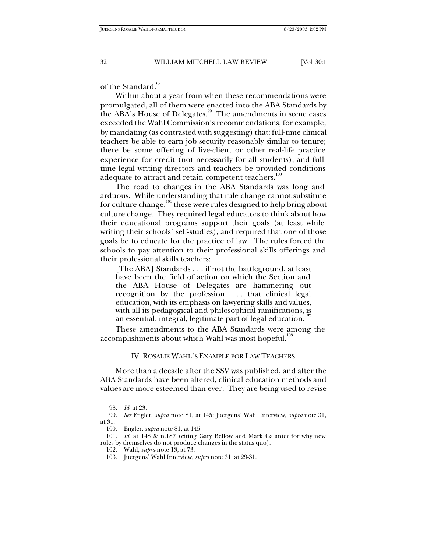of the Standard.<sup>98</sup>

Within about a year from when these recommendations were promulgated, all of them were enacted into the ABA Standards by the ABA's House of Delegates.<sup>99</sup> The amendments in some cases exceeded the Wahl Commission's recommendations, for example, by mandating (as contrasted with suggesting) that: full-time clinical teachers be able to earn job security reasonably similar to tenure; there be some offering of live-client or other real-life practice experience for credit (not necessarily for all students); and fulltime legal writing directors and teachers be provided conditions adequate to attract and retain competent teachers.<sup>100</sup>

The road to changes in the ABA Standards was long and arduous. While understanding that rule change cannot substitute for culture change, $101$  these were rules designed to help bring about culture change. They required legal educators to think about how their educational programs support their goals (at least while writing their schools' self-studies), and required that one of those goals be to educate for the practice of law. The rules forced the schools to pay attention to their professional skills offerings and their professional skills teachers:

[The ABA] Standards . . . if not the battleground, at least have been the field of action on which the Section and the ABA House of Delegates are hammering out recognition by the profession . . . that clinical legal education, with its emphasis on lawyering skills and values, with all its pedagogical and philosophical ramifications, is an essential, integral, legitimate part of legal education.<sup>1</sup>

These amendments to the ABA Standards were among the accomplishments about which Wahl was most hopeful.<sup>103</sup>

#### IV. ROSALIE WAHL'S EXAMPLE FOR LAW TEACHERS

More than a decade after the SSV was published, and after the ABA Standards have been altered, clinical education methods and values are more esteemed than ever. They are being used to revise

<sup>98</sup>*. Id*. at 23.

<sup>99</sup>*. See* Engler, *supra* note 81, at 145; Juergens' Wahl Interview, *supra* note 31, at 31.

<sup>100.</sup> Engler, *supra* note 81, at 145.

<sup>101</sup>*. Id*. at 148 & n.187 (citing Gary Bellow and Mark Galanter for why new rules by themselves do not produce changes in the status quo).

<sup>102.</sup> Wahl, *supra* note 13, at 73.

<sup>103.</sup> Juergens' Wahl Interview, *supra* note 31, at 29-31.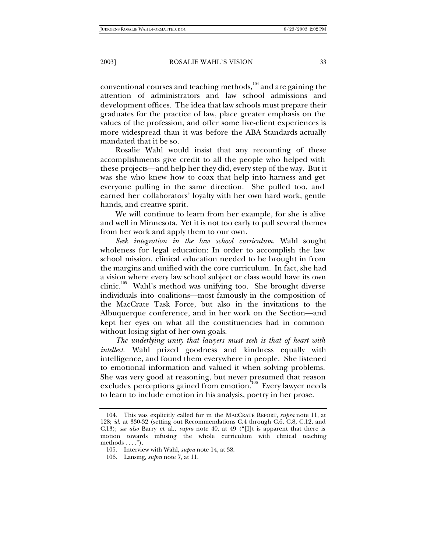conventional courses and teaching methods, $104$  and are gaining the attention of administrators and law school admissions and development offices. The idea that law schools must prepare their graduates for the practice of law, place greater emphasis on the values of the profession, and offer some live-client experiences is more widespread than it was before the ABA Standards actually mandated that it be so.

Rosalie Wahl would insist that any recounting of these accomplishments give credit to all the people who helped with these projects—and help her they did, every step of the way. But it was she who knew how to coax that help into harness and get everyone pulling in the same direction. She pulled too, and earned her collaborators' loyalty with her own hard work, gentle hands, and creative spirit.

We will continue to learn from her example, for she is alive and well in Minnesota. Yet it is not too early to pull several themes from her work and apply them to our own.

*Seek integration in the law school curriculum.* Wahl sought wholeness for legal education: In order to accomplish the law school mission, clinical education needed to be brought in from the margins and unified with the core curriculum. In fact, she had a vision where every law school subject or class would have its own clinic.<sup>105</sup> Wahl's method was unifying too. She brought diverse individuals into coalitions—most famously in the composition of the MacCrate Task Force, but also in the invitations to the Albuquerque conference, and in her work on the Section—and kept her eyes on what all the constituencies had in common without losing sight of her own goals.

*The underlying unity that lawyers must seek is that of heart with intellect.* Wahl prized goodness and kindness equally with intelligence, and found them everywhere in people. She listened to emotional information and valued it when solving problems. She was very good at reasoning, but never presumed that reason excludes perceptions gained from emotion.<sup>106</sup> Every lawyer needs to learn to include emotion in his analysis, poetry in her prose.

<sup>104.</sup> This was explicitly called for in the MACCRATE REPORT, *supra* note 11, at 128; *id*. at 330-32 (setting out Recommendations C.4 through C.6, C.8, C.12, and C.13); *see also* Barry et al., *supra* note 40, at 49 ("[I]t is apparent that there is motion towards infusing the whole curriculum with clinical teaching methods  $\dots$ .").

<sup>105.</sup> Interview with Wahl, *supra* note 14, at 38.

<sup>106.</sup> Lansing, *supra* note 7, at 11.